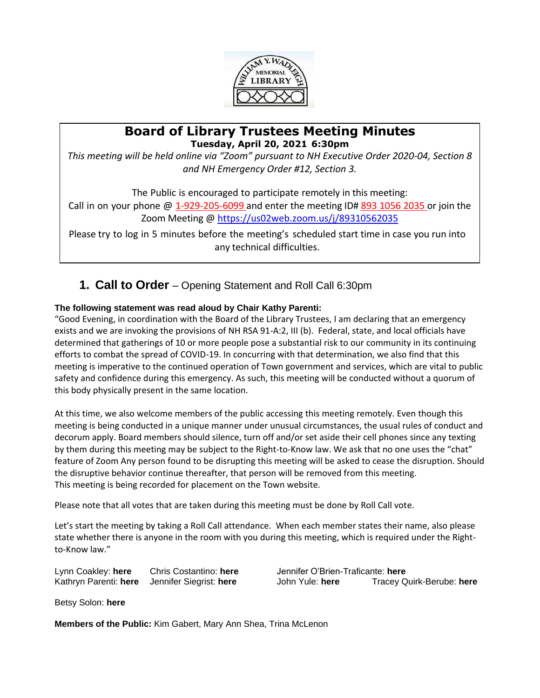

### **Board of Library Trustees Meeting Minutes Tuesday, April 20, 2021 6:30pm**

*This meeting will be held online via "Zoom" pursuant to NH Executive Order 2020-04, Section 8 and NH Emergency Order #12, Section 3.*

The Public is encouraged to participate remotely in this meeting: Call in on your phone  $\omega$  1-929-205-6099 and enter the meeting ID# 893 1056 2035 or join the Zoom Meeting [@ https://us02web.zoom.us/j/89310562035](https://us02web.zoom.us/j/89310562035)

Please try to log in 5 minutes before the meeting's scheduled start time in case you run into any technical difficulties.

**1. Call to Order** – Opening Statement and Roll Call 6:30pm

### **The following statement was read aloud by Chair Kathy Parenti:**

"Good Evening, in coordination with the Board of the Library Trustees, I am declaring that an emergency exists and we are invoking the provisions of NH RSA 91-A:2, III (b). Federal, state, and local officials have determined that gatherings of 10 or more people pose a substantial risk to our community in its continuing efforts to combat the spread of COVID-19. In concurring with that determination, we also find that this meeting is imperative to the continued operation of Town government and services, which are vital to public safety and confidence during this emergency. As such, this meeting will be conducted without a quorum of this body physically present in the same location.

At this time, we also welcome members of the public accessing this meeting remotely. Even though this meeting is being conducted in a unique manner under unusual circumstances, the usual rules of conduct and decorum apply. Board members should silence, turn off and/or set aside their cell phones since any texting by them during this meeting may be subject to the Right-to-Know law. We ask that no one uses the "chat" feature of Zoom Any person found to be disrupting this meeting will be asked to cease the disruption. Should the disruptive behavior continue thereafter, that person will be removed from this meeting. This meeting is being recorded for placement on the Town website.

Please note that all votes that are taken during this meeting must be done by Roll Call vote.

Let's start the meeting by taking a Roll Call attendance. When each member states their name, also please state whether there is anyone in the room with you during this meeting, which is required under the Rightto-Know law."

Lynn Coakley: **here** Chris Costantino: **here** Jennifer O'Brien-Traficante: **here**

Kathryn Parenti: **here** Jennifer Siegrist: **here** John Yule: **here** Tracey Quirk-Berube: **here**

Betsy Solon: **here**

**Members of the Public:** Kim Gabert, Mary Ann Shea, Trina McLenon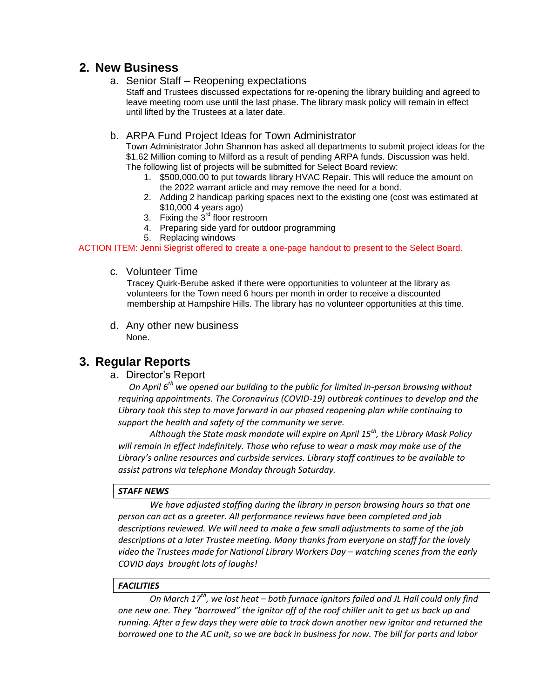## **2. New Business**

a. Senior Staff – Reopening expectations

Staff and Trustees discussed expectations for re-opening the library building and agreed to leave meeting room use until the last phase. The library mask policy will remain in effect until lifted by the Trustees at a later date.

#### b. ARPA Fund Project Ideas for Town Administrator

Town Administrator John Shannon has asked all departments to submit project ideas for the \$1.62 Million coming to Milford as a result of pending ARPA funds. Discussion was held. The following list of projects will be submitted for Select Board review:

- 1. \$500,000.00 to put towards library HVAC Repair. This will reduce the amount on the 2022 warrant article and may remove the need for a bond.
- 2. Adding 2 handicap parking spaces next to the existing one (cost was estimated at \$10,000 4 years ago)
- 3. Fixing the  $3<sup>rd</sup>$  floor restroom
- 4. Preparing side yard for outdoor programming
- 5. Replacing windows

ACTION ITEM: Jenni Siegrist offered to create a one-page handout to present to the Select Board.

c. Volunteer Time

Tracey Quirk-Berube asked if there were opportunities to volunteer at the library as volunteers for the Town need 6 hours per month in order to receive a discounted membership at Hampshire Hills. The library has no volunteer opportunities at this time.

d. Any other new business None.

## **3. Regular Reports**

a. Director's Report

 *On April 6th we opened our building to the public for limited in-person browsing without requiring appointments. The Coronavirus (COVID-19) outbreak continues to develop and the Library took this step to move forward in our phased reopening plan while continuing to support the health and safety of the community we serve.* 

*Although the State mask mandate will expire on April 15th, the Library Mask Policy will remain in effect indefinitely. Those who refuse to wear a mask may make use of the Library's online resources and curbside services. Library staff continues to be available to assist patrons via telephone Monday through Saturday.* 

#### *STAFF NEWS*

*We have adjusted staffing during the library in person browsing hours so that one person can act as a greeter. All performance reviews have been completed and job descriptions reviewed. We will need to make a few small adjustments to some of the job descriptions at a later Trustee meeting. Many thanks from everyone on staff for the lovely video the Trustees made for National Library Workers Day - watching scenes from the early COVID days brought lots of laughs!*

#### *FACILITIES*

*On March 17th, we lost heat – both furnace ignitors failed and JL Hall could only find one new one. They "borrowed" the ignitor off of the roof chiller unit to get us back up and running. After a few days they were able to track down another new ignitor and returned the borrowed one to the AC unit, so we are back in business for now. The bill for parts and labor*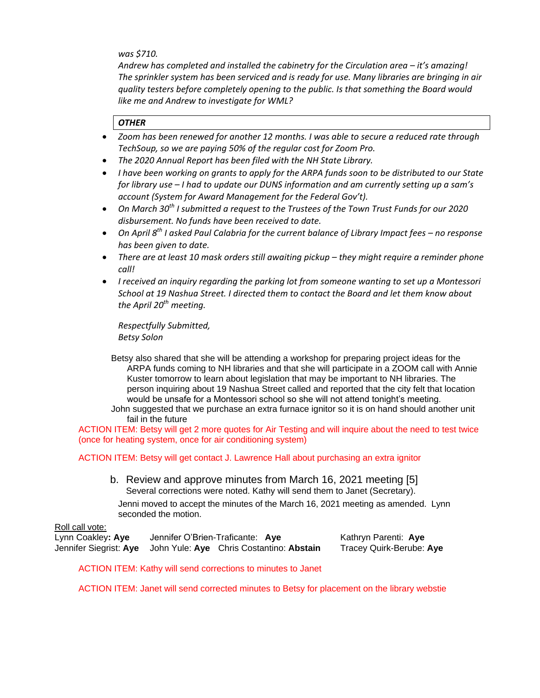*was \$710.* 

*Andrew has completed and installed the cabinetry for the Circulation area – it's amazing! The sprinkler system has been serviced and is ready for use. Many libraries are bringing in air quality testers before completely opening to the public. Is that something the Board would like me and Andrew to investigate for WML?*

#### *OTHER*

- *Zoom has been renewed for another 12 months. I was able to secure a reduced rate through TechSoup, so we are paying 50% of the regular cost for Zoom Pro.*
- *The 2020 Annual Report has been filed with the NH State Library.*
- *I have been working on grants to apply for the ARPA funds soon to be distributed to our State for library use – I had to update our DUNS information and am currently setting up a sam's account (System for Award Management for the Federal Gov't).*
- **•** On March 30<sup>th</sup> I submitted a request to the Trustees of the Town Trust Funds for our 2020 *disbursement. No funds have been received to date.*
- *On April 8<sup>th</sup> I asked Paul Calabria for the current balance of Library Impact fees no response has been given to date.*
- There are at least 10 mask orders still awaiting pickup they might require a reminder phone *call!*
- *I received an inquiry regarding the parking lot from someone wanting to set up a Montessori School at 19 Nashua Street. I directed them to contact the Board and let them know about the April 20th meeting.*

*Respectfully Submitted, Betsy Solon*

Betsy also shared that she will be attending a workshop for preparing project ideas for the ARPA funds coming to NH libraries and that she will participate in a ZOOM call with Annie Kuster tomorrow to learn about legislation that may be important to NH libraries. The person inquiring about 19 Nashua Street called and reported that the city felt that location would be unsafe for a Montessori school so she will not attend tonight's meeting.

John suggested that we purchase an extra furnace ignitor so it is on hand should another unit fail in the future

ACTION ITEM: Betsy will get 2 more quotes for Air Testing and will inquire about the need to test twice (once for heating system, once for air conditioning system)

ACTION ITEM: Betsy will get contact J. Lawrence Hall about purchasing an extra ignitor

b. Review and approve minutes from March 16, 2021 meeting [5] Several corrections were noted. Kathy will send them to Janet (Secretary).

Jenni moved to accept the minutes of the March 16, 2021 meeting as amended. Lynn seconded the motion.

#### Roll call vote:

Lynn Coakley**: Aye** Jennifer O'Brien-Traficante: **Aye** Kathryn Parenti: **Aye** Jennifer Siegrist: **Aye** John Yule: **Aye** Chris Costantino: **Abstain** Tracey Quirk-Berube: **Aye**

ACTION ITEM: Kathy will send corrections to minutes to Janet

ACTION ITEM: Janet will send corrected minutes to Betsy for placement on the library webstie